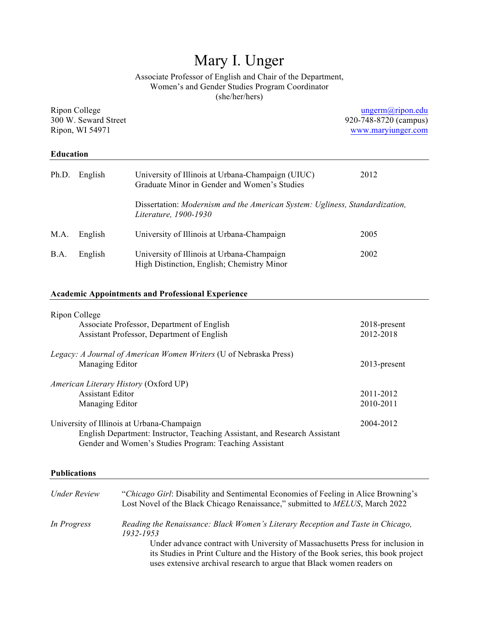# Mary I. Unger

Associate Professor of English and Chair of the Department, Women's and Gender Studies Program Coordinator (she/her/hers)

| Ripon College<br>300 W. Seward Street<br>Ripon, WI 54971 |                                                                                                      |                                                                                                      | ungerm@ripon.edu<br>920-748-8720 (campus)<br>www.maryiunger.com |
|----------------------------------------------------------|------------------------------------------------------------------------------------------------------|------------------------------------------------------------------------------------------------------|-----------------------------------------------------------------|
| <b>Education</b>                                         |                                                                                                      |                                                                                                      |                                                                 |
| Ph.D.                                                    | English                                                                                              | University of Illinois at Urbana-Champaign (UIUC)<br>Graduate Minor in Gender and Women's Studies    | 2012                                                            |
|                                                          |                                                                                                      | Dissertation: Modernism and the American System: Ugliness, Standardization,<br>Literature, 1900-1930 |                                                                 |
| M.A.                                                     | English                                                                                              | University of Illinois at Urbana-Champaign                                                           | 2005                                                            |
| B.A.                                                     | English                                                                                              | University of Illinois at Urbana-Champaign<br>High Distinction, English; Chemistry Minor             | 2002                                                            |
|                                                          |                                                                                                      | <b>Academic Appointments and Professional Experience</b>                                             |                                                                 |
|                                                          | Ripon College                                                                                        | Associate Professor, Department of English<br>Assistant Professor, Department of English             | 2018-present<br>2012-2018                                       |
|                                                          | Legacy: A Journal of American Women Writers (U of Nebraska Press)<br>Managing Editor<br>2013-present |                                                                                                      |                                                                 |

# *American Literary History* (Oxford UP) Assistant Editor 2011-2012 Managing Editor 2010-2011

# University of Illinois at Urbana-Champaign 2004-2012 English Department: Instructor, Teaching Assistant, and Research Assistant Gender and Women's Studies Program: Teaching Assistant

### **Publications**

| <b><i>Under Review</i></b> | "Chicago Girl: Disability and Sentimental Economies of Feeling in Alice Browning's<br>Lost Novel of the Black Chicago Renaissance," submitted to MELUS, March 2022                                                                            |
|----------------------------|-----------------------------------------------------------------------------------------------------------------------------------------------------------------------------------------------------------------------------------------------|
| In Progress                | Reading the Renaissance: Black Women's Literary Reception and Taste in Chicago,<br>1932-1953                                                                                                                                                  |
|                            | Under advance contract with University of Massachusetts Press for inclusion in<br>its Studies in Print Culture and the History of the Book series, this book project<br>uses extensive archival research to argue that Black women readers on |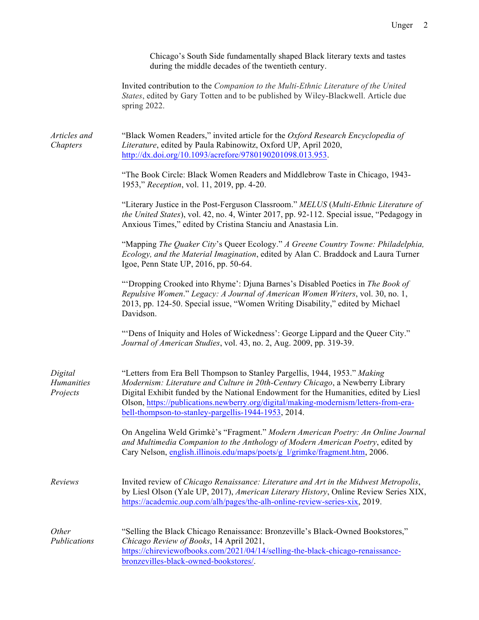Chicago's South Side fundamentally shaped Black literary texts and tastes during the middle decades of the twentieth century.

Invited contribution to the *Companion to the Multi-Ethnic Literature of the United States*, edited by Gary Totten and to be published by Wiley-Blackwell. Article due spring 2022.

*Articles and Chapters* "Black Women Readers," invited article for the *Oxford Research Encyclopedia of Literature*, edited by Paula Rabinowitz, Oxford UP, April 2020, http://dx.doi.org/10.1093/acrefore/9780190201098.013.953.

> "The Book Circle: Black Women Readers and Middlebrow Taste in Chicago, 1943- 1953," *Reception*, vol. 11, 2019, pp. 4-20.

"Literary Justice in the Post-Ferguson Classroom." *MELUS* (*Multi-Ethnic Literature of the United States*), vol. 42, no. 4, Winter 2017, pp. 92-112. Special issue, "Pedagogy in Anxious Times," edited by Cristina Stanciu and Anastasia Lin.

"Mapping *The Quaker City*'s Queer Ecology." *A Greene Country Towne: Philadelphia, Ecology, and the Material Imagination*, edited by Alan C. Braddock and Laura Turner Igoe, Penn State UP, 2016, pp. 50-64.

"'Dropping Crooked into Rhyme': Djuna Barnes's Disabled Poetics in *The Book of Repulsive Women*." *Legacy: A Journal of American Women Writers*, vol. 30, no. 1, 2013, pp. 124-50. Special issue, "Women Writing Disability," edited by Michael Davidson.

"'Dens of Iniquity and Holes of Wickedness': George Lippard and the Queer City." *Journal of American Studies*, vol. 43, no. 2, Aug. 2009, pp. 319-39.

| Digital           | "Letters from Era Bell Thompson to Stanley Pargellis, 1944, 1953." Making                                                                                                                                                                                  |
|-------------------|------------------------------------------------------------------------------------------------------------------------------------------------------------------------------------------------------------------------------------------------------------|
| <b>Humanities</b> | Modernism: Literature and Culture in 20th-Century Chicago, a Newberry Library                                                                                                                                                                              |
| Projects          | Digital Exhibit funded by the National Endowment for the Humanities, edited by Liesl                                                                                                                                                                       |
|                   | Olson, https://publications.newberry.org/digital/making-modernism/letters-from-era-                                                                                                                                                                        |
|                   | bell-thompson-to-stanley-pargellis-1944-1953, 2014.                                                                                                                                                                                                        |
|                   | On Angelina Weld Grimkè's "Fragment." Modern American Poetry: An Online Journal<br>and Multimedia Companion to the Anthology of Modern American Poetry, edited by<br>Cary Nelson, english.illinois.edu/maps/poets/g l/grimke/fragment.htm, 2006.           |
| Reviews           | Invited review of Chicago Renaissance: Literature and Art in the Midwest Metropolis,<br>by Liesl Olson (Yale UP, 2017), American Literary History, Online Review Series XIX,<br>https://academic.oup.com/alh/pages/the-alh-online-review-series-xix, 2019. |
| <i>Other</i>      | "Selling the Black Chicago Renaissance: Bronzeville's Black-Owned Bookstores,"                                                                                                                                                                             |
| Publications      | Chicago Review of Books, 14 April 2021,                                                                                                                                                                                                                    |
|                   | https://chireviewofbooks.com/2021/04/14/selling-the-black-chicago-renaissance-                                                                                                                                                                             |
|                   | bronzevilles-black-owned-bookstores.                                                                                                                                                                                                                       |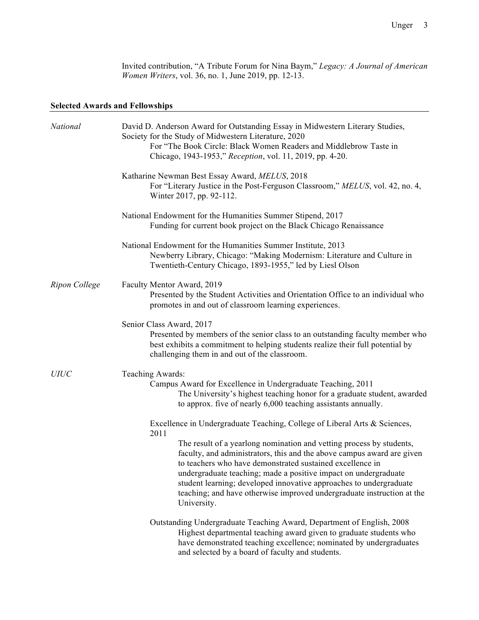Invited contribution, "A Tribute Forum for Nina Baym," *Legacy: A Journal of American Women Writers*, vol. 36, no. 1, June 2019, pp. 12-13.

### **Selected Awards and Fellowships**

| National      | David D. Anderson Award for Outstanding Essay in Midwestern Literary Studies,<br>Society for the Study of Midwestern Literature, 2020<br>For "The Book Circle: Black Women Readers and Middlebrow Taste in<br>Chicago, 1943-1953," Reception, vol. 11, 2019, pp. 4-20.                                                                                                                                                                        |
|---------------|-----------------------------------------------------------------------------------------------------------------------------------------------------------------------------------------------------------------------------------------------------------------------------------------------------------------------------------------------------------------------------------------------------------------------------------------------|
|               | Katharine Newman Best Essay Award, MELUS, 2018<br>For "Literary Justice in the Post-Ferguson Classroom," MELUS, vol. 42, no. 4,<br>Winter 2017, pp. 92-112.                                                                                                                                                                                                                                                                                   |
|               | National Endowment for the Humanities Summer Stipend, 2017<br>Funding for current book project on the Black Chicago Renaissance                                                                                                                                                                                                                                                                                                               |
|               | National Endowment for the Humanities Summer Institute, 2013<br>Newberry Library, Chicago: "Making Modernism: Literature and Culture in<br>Twentieth-Century Chicago, 1893-1955," led by Liesl Olson                                                                                                                                                                                                                                          |
| Ripon College | Faculty Mentor Award, 2019<br>Presented by the Student Activities and Orientation Office to an individual who<br>promotes in and out of classroom learning experiences.                                                                                                                                                                                                                                                                       |
|               | Senior Class Award, 2017<br>Presented by members of the senior class to an outstanding faculty member who<br>best exhibits a commitment to helping students realize their full potential by<br>challenging them in and out of the classroom.                                                                                                                                                                                                  |
| <b>UIUC</b>   | Teaching Awards:<br>Campus Award for Excellence in Undergraduate Teaching, 2011<br>The University's highest teaching honor for a graduate student, awarded<br>to approx. five of nearly 6,000 teaching assistants annually.                                                                                                                                                                                                                   |
|               | Excellence in Undergraduate Teaching, College of Liberal Arts & Sciences,<br>2011                                                                                                                                                                                                                                                                                                                                                             |
|               | The result of a yearlong nomination and vetting process by students,<br>faculty, and administrators, this and the above campus award are given<br>to teachers who have demonstrated sustained excellence in<br>undergraduate teaching; made a positive impact on undergraduate<br>student learning; developed innovative approaches to undergraduate<br>teaching; and have otherwise improved undergraduate instruction at the<br>University. |
|               | Outstanding Undergraduate Teaching Award, Department of English, 2008<br>Highest departmental teaching award given to graduate students who<br>have demonstrated teaching excellence; nominated by undergraduates<br>and selected by a board of faculty and students.                                                                                                                                                                         |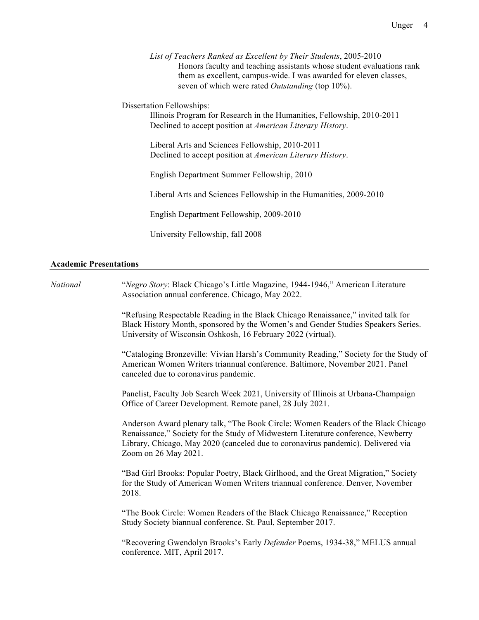*List of Teachers Ranked as Excellent by Their Students*, 2005-2010 Honors faculty and teaching assistants whose student evaluations rank them as excellent, campus-wide. I was awarded for eleven classes, seven of which were rated *Outstanding* (top 10%).

Dissertation Fellowships:

Illinois Program for Research in the Humanities, Fellowship, 2010-2011 Declined to accept position at *American Literary History*.

Liberal Arts and Sciences Fellowship, 2010-2011 Declined to accept position at *American Literary History*.

English Department Summer Fellowship, 2010

Liberal Arts and Sciences Fellowship in the Humanities, 2009-2010

English Department Fellowship, 2009-2010

University Fellowship, fall 2008

### **Academic Presentations**

| National | "Negro Story: Black Chicago's Little Magazine, 1944-1946," American Literature<br>Association annual conference. Chicago, May 2022.                                                                                                                                                |
|----------|------------------------------------------------------------------------------------------------------------------------------------------------------------------------------------------------------------------------------------------------------------------------------------|
|          | "Refusing Respectable Reading in the Black Chicago Renaissance," invited talk for<br>Black History Month, sponsored by the Women's and Gender Studies Speakers Series.<br>University of Wisconsin Oshkosh, 16 February 2022 (virtual).                                             |
|          | "Cataloging Bronzeville: Vivian Harsh's Community Reading," Society for the Study of<br>American Women Writers triannual conference. Baltimore, November 2021. Panel<br>canceled due to coronavirus pandemic.                                                                      |
|          | Panelist, Faculty Job Search Week 2021, University of Illinois at Urbana-Champaign<br>Office of Career Development. Remote panel, 28 July 2021.                                                                                                                                    |
|          | Anderson Award plenary talk, "The Book Circle: Women Readers of the Black Chicago<br>Renaissance," Society for the Study of Midwestern Literature conference, Newberry<br>Library, Chicago, May 2020 (canceled due to coronavirus pandemic). Delivered via<br>Zoom on 26 May 2021. |
|          | "Bad Girl Brooks: Popular Poetry, Black Girlhood, and the Great Migration," Society<br>for the Study of American Women Writers triannual conference. Denver, November<br>2018.                                                                                                     |
|          | "The Book Circle: Women Readers of the Black Chicago Renaissance," Reception<br>Study Society biannual conference. St. Paul, September 2017.                                                                                                                                       |
|          | "Recovering Gwendolyn Brooks's Early Defender Poems, 1934-38," MELUS annual<br>conference. MIT, April 2017.                                                                                                                                                                        |
|          |                                                                                                                                                                                                                                                                                    |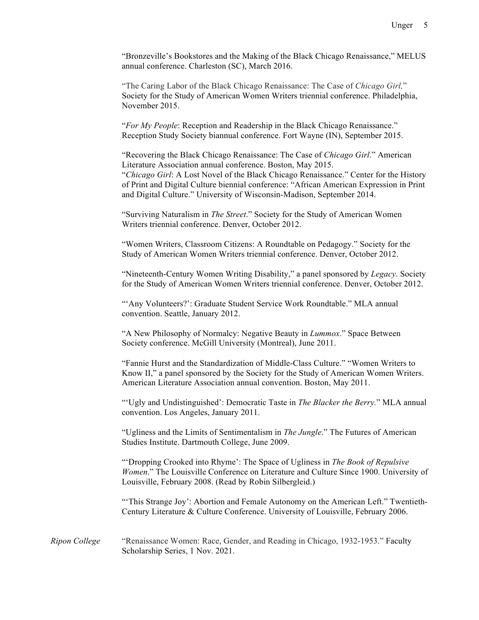"Bronzeville's Bookstores and the Making of the Black Chicago Renaissance," MELUS annual conference. Charleston (SC), March 2016.

"The Caring Labor of the Black Chicago Renaissance: The Case of *Chicago Girl,*" Society for the Study of American Women Writers triennial conference. Philadelphia, November 2015.

"*For My People*: Reception and Readership in the Black Chicago Renaissance." Reception Study Society biannual conference. Fort Wayne (IN), September 2015.

"Recovering the Black Chicago Renaissance: The Case of *Chicago Girl*." American Literature Association annual conference. Boston, May 2015. "*Chicago Girl*: A Lost Novel of the Black Chicago Renaissance." Center for the History of Print and Digital Culture biennial conference: "African American Expression in Print and Digital Culture." University of Wisconsin-Madison, September 2014.

"Surviving Naturalism in *The Street*." Society for the Study of American Women Writers triennial conference. Denver, October 2012.

"Women Writers, Classroom Citizens: A Roundtable on Pedagogy." Society for the Study of American Women Writers triennial conference. Denver, October 2012.

"Nineteenth-Century Women Writing Disability," a panel sponsored by *Legacy*. Society for the Study of American Women Writers triennial conference. Denver, October 2012.

"'Any Volunteers?': Graduate Student Service Work Roundtable." MLA annual convention. Seattle, January 2012.

"A New Philosophy of Normalcy: Negative Beauty in *Lummox*." Space Between Society conference. McGill University (Montreal), June 2011.

"Fannie Hurst and the Standardization of Middle-Class Culture." "Women Writers to Know II," a panel sponsored by the Society for the Study of American Women Writers. American Literature Association annual convention. Boston, May 2011.

"'Ugly and Undistinguished': Democratic Taste in *The Blacker the Berry.*" MLA annual convention. Los Angeles, January 2011.

"Ugliness and the Limits of Sentimentalism in *The Jungle*." The Futures of American Studies Institute. Dartmouth College, June 2009.

"'Dropping Crooked into Rhyme': The Space of Ugliness in *The Book of Repulsive Women*." The Louisville Conference on Literature and Culture Since 1900. University of Louisville, February 2008. (Read by Robin Silbergleid.)

"'This Strange Joy': Abortion and Female Autonomy on the American Left." Twentieth-Century Literature & Culture Conference. University of Louisville, February 2006.

*Ripon College* "Renaissance Women: Race, Gender, and Reading in Chicago, 1932-1953." Faculty Scholarship Series, 1 Nov. 2021.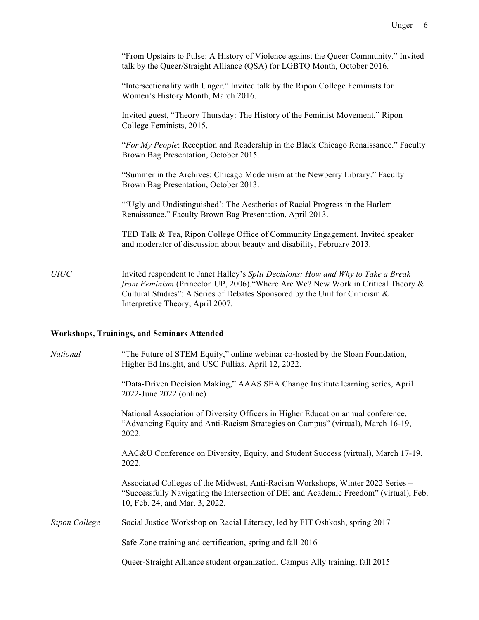|             | "From Upstairs to Pulse: A History of Violence against the Queer Community." Invited<br>talk by the Queer/Straight Alliance (QSA) for LGBTQ Month, October 2016.                                                                                                                          |
|-------------|-------------------------------------------------------------------------------------------------------------------------------------------------------------------------------------------------------------------------------------------------------------------------------------------|
|             | "Intersectionality with Unger." Invited talk by the Ripon College Feminists for<br>Women's History Month, March 2016.                                                                                                                                                                     |
|             | Invited guest, "Theory Thursday: The History of the Feminist Movement," Ripon<br>College Feminists, 2015.                                                                                                                                                                                 |
|             | "For My People: Reception and Readership in the Black Chicago Renaissance." Faculty<br>Brown Bag Presentation, October 2015.                                                                                                                                                              |
|             | "Summer in the Archives: Chicago Modernism at the Newberry Library." Faculty<br>Brown Bag Presentation, October 2013.                                                                                                                                                                     |
|             | "Ugly and Undistinguished': The Aesthetics of Racial Progress in the Harlem<br>Renaissance." Faculty Brown Bag Presentation, April 2013.                                                                                                                                                  |
|             | TED Talk & Tea, Ripon College Office of Community Engagement. Invited speaker<br>and moderator of discussion about beauty and disability, February 2013.                                                                                                                                  |
| <b>UIUC</b> | Invited respondent to Janet Halley's Split Decisions: How and Why to Take a Break<br>from Feminism (Princeton UP, 2006). "Where Are We? New Work in Critical Theory &<br>Cultural Studies": A Series of Debates Sponsored by the Unit for Criticism &<br>Interpretive Theory, April 2007. |

# **Workshops, Trainings, and Seminars Attended**

| National      | "The Future of STEM Equity," online webinar co-hosted by the Sloan Foundation,<br>Higher Ed Insight, and USC Pullias. April 12, 2022.                                                                       |
|---------------|-------------------------------------------------------------------------------------------------------------------------------------------------------------------------------------------------------------|
|               | "Data-Driven Decision Making," AAAS SEA Change Institute learning series, April<br>2022-June 2022 (online)                                                                                                  |
|               | National Association of Diversity Officers in Higher Education annual conference,<br>"Advancing Equity and Anti-Racism Strategies on Campus" (virtual), March 16-19,<br>2022.                               |
|               | AAC&U Conference on Diversity, Equity, and Student Success (virtual), March 17-19,<br>2022.                                                                                                                 |
|               | Associated Colleges of the Midwest, Anti-Racism Workshops, Winter 2022 Series –<br>"Successfully Navigating the Intersection of DEI and Academic Freedom" (virtual), Feb.<br>10, Feb. 24, and Mar. 3, 2022. |
| Ripon College | Social Justice Workshop on Racial Literacy, led by FIT Oshkosh, spring 2017                                                                                                                                 |
|               | Safe Zone training and certification, spring and fall 2016                                                                                                                                                  |
|               | Queer-Straight Alliance student organization, Campus Ally training, fall 2015                                                                                                                               |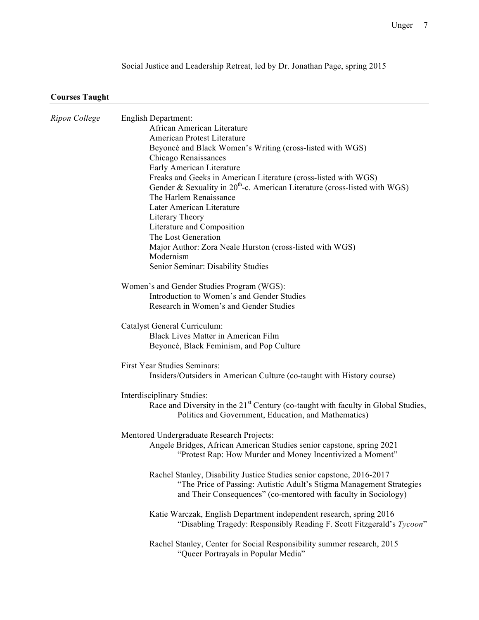Social Justice and Leadership Retreat, led by Dr. Jonathan Page, spring 2015

# **Courses Taught**

| Ripon College | English Department:                                                                           |
|---------------|-----------------------------------------------------------------------------------------------|
|               | African American Literature                                                                   |
|               | American Protest Literature                                                                   |
|               | Beyoncé and Black Women's Writing (cross-listed with WGS)                                     |
|               | Chicago Renaissances                                                                          |
|               | Early American Literature                                                                     |
|               | Freaks and Geeks in American Literature (cross-listed with WGS)                               |
|               | Gender & Sexuality in $20^{th}$ -c. American Literature (cross-listed with WGS)               |
|               | The Harlem Renaissance                                                                        |
|               | Later American Literature                                                                     |
|               | Literary Theory                                                                               |
|               | Literature and Composition                                                                    |
|               | The Lost Generation                                                                           |
|               | Major Author: Zora Neale Hurston (cross-listed with WGS)                                      |
|               | Modernism                                                                                     |
|               | Senior Seminar: Disability Studies                                                            |
|               | Women's and Gender Studies Program (WGS):                                                     |
|               | Introduction to Women's and Gender Studies                                                    |
|               | Research in Women's and Gender Studies                                                        |
|               | Catalyst General Curriculum:                                                                  |
|               | <b>Black Lives Matter in American Film</b>                                                    |
|               | Beyoncé, Black Feminism, and Pop Culture                                                      |
|               |                                                                                               |
|               | First Year Studies Seminars:                                                                  |
|               | Insiders/Outsiders in American Culture (co-taught with History course)                        |
|               | Interdisciplinary Studies:                                                                    |
|               | Race and Diversity in the 21 <sup>st</sup> Century (co-taught with faculty in Global Studies, |
|               | Politics and Government, Education, and Mathematics)                                          |
|               | Mentored Undergraduate Research Projects:                                                     |
|               | Angele Bridges, African American Studies senior capstone, spring 2021                         |
|               | "Protest Rap: How Murder and Money Incentivized a Moment"                                     |
|               | Rachel Stanley, Disability Justice Studies senior capstone, 2016-2017                         |
|               | "The Price of Passing: Autistic Adult's Stigma Management Strategies                          |
|               | and Their Consequences" (co-mentored with faculty in Sociology)                               |
|               | Katie Warczak, English Department independent research, spring 2016                           |
|               | "Disabling Tragedy: Responsibly Reading F. Scott Fitzgerald's Tycoon"                         |
|               | Rachel Stanley, Center for Social Responsibility summer research, 2015                        |
|               | "Queer Portrayals in Popular Media"                                                           |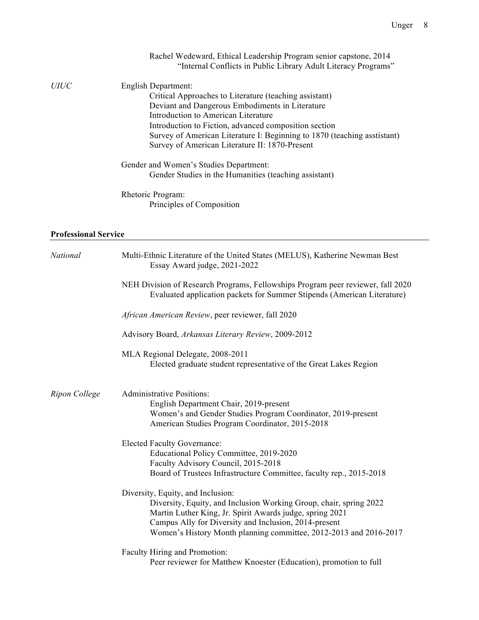|                             | Rachel Wedeward, Ethical Leadership Program senior capstone, 2014        |
|-----------------------------|--------------------------------------------------------------------------|
|                             | "Internal Conflicts in Public Library Adult Literacy Programs"           |
| <i>UIUC</i>                 | English Department:                                                      |
|                             | Critical Approaches to Literature (teaching assistant)                   |
|                             | Deviant and Dangerous Embodiments in Literature                          |
|                             | Introduction to American Literature                                      |
|                             | Introduction to Fiction, advanced composition section                    |
|                             | Survey of American Literature I: Beginning to 1870 (teaching asstistant) |
|                             | Survey of American Literature II: 1870-Present                           |
|                             | Gender and Women's Studies Department:                                   |
|                             | Gender Studies in the Humanities (teaching assistant)                    |
|                             | Rhetoric Program:                                                        |
|                             | Principles of Composition                                                |
|                             |                                                                          |
| <b>Professional Service</b> |                                                                          |

| National      | Multi-Ethnic Literature of the United States (MELUS), Katherine Newman Best<br>Essay Award judge, 2021-2022                                                                                                                                                                                       |
|---------------|---------------------------------------------------------------------------------------------------------------------------------------------------------------------------------------------------------------------------------------------------------------------------------------------------|
|               | NEH Division of Research Programs, Fellowships Program peer reviewer, fall 2020<br>Evaluated application packets for Summer Stipends (American Literature)                                                                                                                                        |
|               | African American Review, peer reviewer, fall 2020                                                                                                                                                                                                                                                 |
|               | Advisory Board, Arkansas Literary Review, 2009-2012                                                                                                                                                                                                                                               |
|               | MLA Regional Delegate, 2008-2011<br>Elected graduate student representative of the Great Lakes Region                                                                                                                                                                                             |
| Ripon College | <b>Administrative Positions:</b><br>English Department Chair, 2019-present<br>Women's and Gender Studies Program Coordinator, 2019-present<br>American Studies Program Coordinator, 2015-2018                                                                                                     |
|               | <b>Elected Faculty Governance:</b><br>Educational Policy Committee, 2019-2020<br>Faculty Advisory Council, 2015-2018<br>Board of Trustees Infrastructure Committee, faculty rep., 2015-2018                                                                                                       |
|               | Diversity, Equity, and Inclusion:<br>Diversity, Equity, and Inclusion Working Group, chair, spring 2022<br>Martin Luther King, Jr. Spirit Awards judge, spring 2021<br>Campus Ally for Diversity and Inclusion, 2014-present<br>Women's History Month planning committee, 2012-2013 and 2016-2017 |
|               | Faculty Hiring and Promotion:<br>Peer reviewer for Matthew Knoester (Education), promotion to full                                                                                                                                                                                                |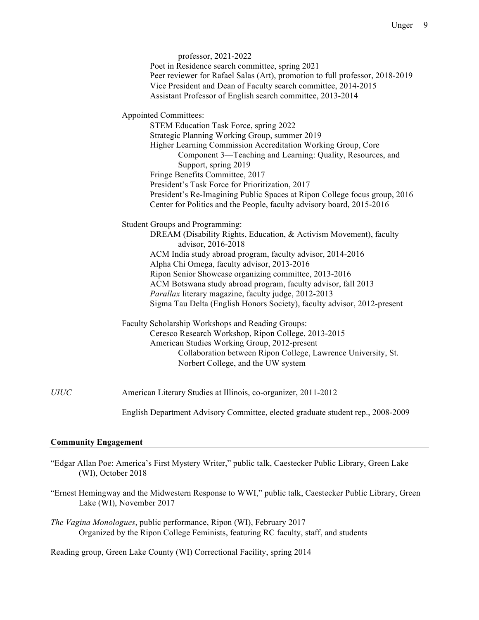|             | professor, 2021-2022<br>Poet in Residence search committee, spring 2021<br>Peer reviewer for Rafael Salas (Art), promotion to full professor, 2018-2019<br>Vice President and Dean of Faculty search committee, 2014-2015<br>Assistant Professor of English search committee, 2013-2014                                                                                                                                                                                                                                   |
|-------------|---------------------------------------------------------------------------------------------------------------------------------------------------------------------------------------------------------------------------------------------------------------------------------------------------------------------------------------------------------------------------------------------------------------------------------------------------------------------------------------------------------------------------|
|             | <b>Appointed Committees:</b><br>STEM Education Task Force, spring 2022<br>Strategic Planning Working Group, summer 2019<br>Higher Learning Commission Accreditation Working Group, Core<br>Component 3—Teaching and Learning: Quality, Resources, and<br>Support, spring 2019<br>Fringe Benefits Committee, 2017<br>President's Task Force for Prioritization, 2017<br>President's Re-Imagining Public Spaces at Ripon College focus group, 2016<br>Center for Politics and the People, faculty advisory board, 2015-2016 |
|             | Student Groups and Programming:<br>DREAM (Disability Rights, Education, & Activism Movement), faculty<br>advisor, 2016-2018<br>ACM India study abroad program, faculty advisor, 2014-2016<br>Alpha Chi Omega, faculty advisor, 2013-2016<br>Ripon Senior Showcase organizing committee, 2013-2016<br>ACM Botswana study abroad program, faculty advisor, fall 2013<br>Parallax literary magazine, faculty judge, 2012-2013<br>Sigma Tau Delta (English Honors Society), faculty advisor, 2012-present                     |
|             | Faculty Scholarship Workshops and Reading Groups:<br>Ceresco Research Workshop, Ripon College, 2013-2015<br>American Studies Working Group, 2012-present<br>Collaboration between Ripon College, Lawrence University, St.<br>Norbert College, and the UW system                                                                                                                                                                                                                                                           |
| <b>UIUC</b> | American Literary Studies at Illinois, co-organizer, 2011-2012                                                                                                                                                                                                                                                                                                                                                                                                                                                            |
|             | English Department Advisory Committee, elected graduate student rep., 2008-2009                                                                                                                                                                                                                                                                                                                                                                                                                                           |

### **Community Engagement**

- "Edgar Allan Poe: America's First Mystery Writer," public talk, Caestecker Public Library, Green Lake (WI), October 2018
- "Ernest Hemingway and the Midwestern Response to WWI," public talk, Caestecker Public Library, Green Lake (WI), November 2017
- *The Vagina Monologues*, public performance, Ripon (WI), February 2017 Organized by the Ripon College Feminists, featuring RC faculty, staff, and students

Reading group, Green Lake County (WI) Correctional Facility, spring 2014